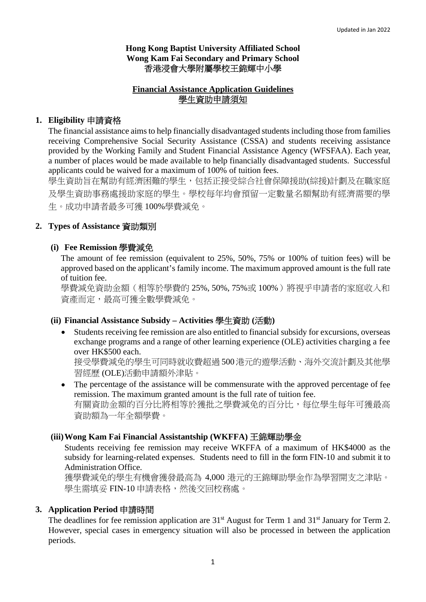## **Hong Kong Baptist University Affiliated School Wong Kam Fai Secondary and Primary School**  香港浸會大學附屬學校王錦輝中小學

## **Financial Assistance Application Guidelines**  學生資助申請須知

## **1. Eligibility** 申請資格

The financial assistance aims to help financially disadvantaged students including those from families receiving Comprehensive Social Security Assistance (CSSA) and students receiving assistance provided by the Working Family and Student Financial Assistance Agency (WFSFAA). Each year, a number of places would be made available to help financially disadvantaged students. Successful applicants could be waived for a maximum of 100% of tuition fees.

學生資助旨在幫助有經濟困難的學生,包括正接受綜合社會保障援助(綜援)計劃及在職家庭 及學生資助事務處援助家庭的學生。學校每年均會預留一定數量名額幫助有經濟需要的學 生。成功申請者最多可獲 100%學費減免。

## **2. Types of Assistance** 資助類別

## **(i) Fee Remission** 學費減免

The amount of fee remission (equivalent to 25%, 50%, 75% or 100% of tuition fees) will be approved based on the applicant's family income. The maximum approved amount is the full rate of tuition fee.

學費減免資助金額(相等於學費的 25%, 50%, 75%或 100%)將視乎申請者的家庭收入和 資產而定,最高可獲全數學費減免。

## **(ii) Financial Assistance Subsidy – Activities** 學生資助 **(**活動**)**

 Students receiving fee remission are also entitled to financial subsidy for excursions, overseas exchange programs and a range of other learning experience (OLE) activities charging a fee over HK\$500 each.

接受學費減免的學生可同時就收費超過 500港元的遊學活動、海外交流計劃及其他學 習經歷 (OLE)活動申請額外津貼。

• The percentage of the assistance will be commensurate with the approved percentage of fee remission. The maximum granted amount is the full rate of tuition fee. 有關資助金額的百分比將相等於獲批之學費減免的百分比,每位學生每年可獲最高 資助額為一年全額學費。

## **(iii)Wong Kam Fai Financial Assistantship (WKFFA)** 王錦輝助學金

Students receiving fee remission may receive WKFFA of a maximum of HK\$4000 as the subsidy for learning-related expenses. Students need to fill in the form FIN-10 and submit it to Administration Office.

獲學費減免的學生有機會獲發最高為 4,000 港元的王錦輝助學金作為學習開支之津貼。 學生需填妥 FIN-10 申請表格,然後交回校務處。

## **3. Application Period** 申請時間

The deadlines for fee remission application are 31<sup>st</sup> August for Term 1 and 31<sup>st</sup> January for Term 2. However, special cases in emergency situation will also be processed in between the application periods.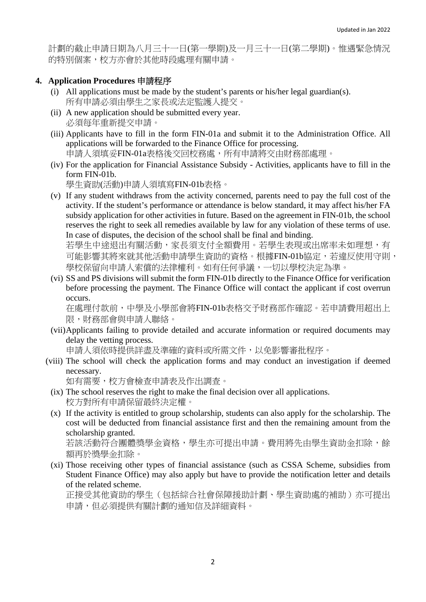計劃的截止申請日期為八月三十一日(第一學期)及一月三十一日(第二學期)。惟遇緊急情況 的特別個案,校方亦會於其他時段處理有關申請。

### **4. Application Procedures** 申請程序

- (i) All applications must be made by the student's parents or his/her legal guardian(s). 所有申請必須由學生之家長或法定監護人提交。
- (ii) A new application should be submitted every year. 必須每年重新提交申請。
- (iii) Applicants have to fill in the form FIN-01a and submit it to the Administration Office. All applications will be forwarded to the Finance Office for processing. 申請人須填妥FIN-01a表格後交回校務處,所有申請將交由財務部處理。
- (iv) For the application for Financial Assistance Subsidy Activities, applicants have to fill in the form FIN-01b.

學生資助(活動)申請人須填寫FIN-01b表格。

(v) If any student withdraws from the activity concerned, parents need to pay the full cost of the activity. If the student's performance or attendance is below standard, it may affect his/her FA subsidy application for other activities in future. Based on the agreement in FIN-01b, the school reserves the right to seek all remedies available by law for any violation of these terms of use. In case of disputes, the decision of the school shall be final and binding.

若學生中途退出有關活動,家長須支付全額費用。若學生表現或出席率未如理想,有 可能影響其將來就其他活動申請學生資助的資格。根據FIN-01b協定,若違反使用守則, 學校保留向申請人索償的法律權利。如有任何爭議,一切以學校決定為準。

(vi) SS and PS divisions will submit the form FIN-01b directly to the Finance Office for verification before processing the payment. The Finance Office will contact the applicant if cost overrun occurs.

在處理付款前,中學及小學部會將FIN-01b表格交予財務部作確認。若申請費用超出上 限,財務部會與申請人聯絡。

(vii)Applicants failing to provide detailed and accurate information or required documents may delay the vetting process.

申請人須依時提供詳盡及準確的資料或所需文件,以免影響審批程序。

(viii) The school will check the application forms and may conduct an investigation if deemed necessary.

如有需要,校方會檢查申請表及作出調查。

- (ix) The school reserves the right to make the final decision over all applications. 校方對所有申請保留最終決定權。
- (x) If the activity is entitled to group scholarship, students can also apply for the scholarship. The cost will be deducted from financial assistance first and then the remaining amount from the scholarship granted.

若該活動符合團體獎學金資格,學生亦可提出申請。費用將先由學生資助金扣除,餘 額再於獎學金扣除。

(xi) Those receiving other types of financial assistance (such as CSSA Scheme, subsidies from Student Finance Office) may also apply but have to provide the notification letter and details of the related scheme.

正接受其他資助的學生(包括綜合社會保障援助計劃、學生資助處的補助)亦可提出 申請,但必須提供有關計劃的通知信及詳細資料。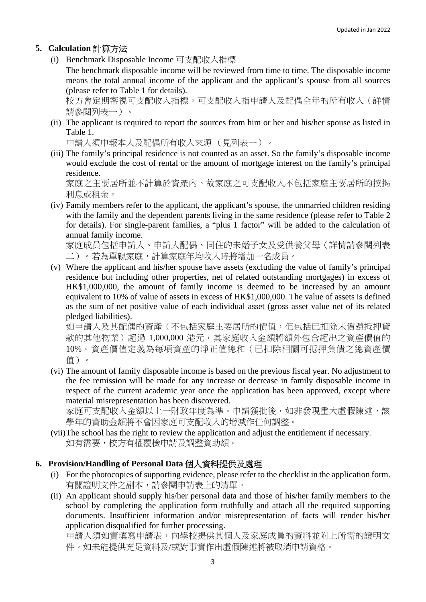# **5. Calculation** 計算方法

(i) Benchmark Disposable Income 可支配收入指標

The benchmark disposable income will be reviewed from time to time. The disposable income means the total annual income of the applicant and the applicant's spouse from all sources (please refer to Table 1 for details).

校方會定期審視可支配收入指標。可支配收入指申請人及配偶全年的所有收入(詳情 請參閱列表一)。

(ii) The applicant is required to report the sources from him or her and his/her spouse as listed in Table 1.

申請人須申報本人及配偶所有收入來源 (見列表一)。

(iii) The family's principal residence is not counted as an asset. So the family's disposable income would exclude the cost of rental or the amount of mortgage interest on the family's principal residence.

家庭之主要居所並不計算於資產內。故家庭之可支配收入不包括家庭主要居所的按揭 利息或租金。

(iv) Family members refer to the applicant, the applicant's spouse, the unmarried children residing with the family and the dependent parents living in the same residence (please refer to Table 2) for details). For single-parent families, a "plus 1 factor" will be added to the calculation of annual family income.

家庭成員包括申請人、申請人配偶、同住的未婚子女及受供養父母(詳情請參閱列表 二)。若為單親家庭,計算家庭年均收入時將增加一名成員。

(v) Where the applicant and his/her spouse have assets (excluding the value of family's principal residence but including other properties, net of related outstanding mortgages) in excess of HK\$1,000,000, the amount of family income is deemed to be increased by an amount equivalent to 10% of value of assets in excess of HK\$1,000,000. The value of assets is defined as the sum of net positive value of each individual asset (gross asset value net of its related pledged liabilities).

如申請人及其配偶的資產(不包括家庭主要居所的價值,但包括已扣除未償還抵押貸 款的其他物業)超過 1,000,000 港元,其家庭收入金額將額外包含超出之資產價值的 10%。資產價值定義為每項資產的淨正值總和(已扣除相關可抵押負債之總資產價 值)。

(vi) The amount of family disposable income is based on the previous fiscal year. No adjustment to the fee remission will be made for any increase or decrease in family disposable income in respect of the current academic year once the application has been approved, except where material misrepresentation has been discovered.

家庭可支配收入金額以上一財政年度為準。申請獲批後,如非發現重大虛假陳述,該 學年的資助金額將不會因家庭可支配收入的增減作任何調整。

(vii)The school has the right to review the application and adjust the entitlement if necessary. 如有需要,校方有權覆檢申請及調整資助額。

## **6. Provision/Handling of Personal Data** 個人資料提供及處理

- (i) For the photocopies of supporting evidence, please refer to the checklist in the application form. 有關證明文件之副本,請參閱申請表上的清單。
- (ii) An applicant should supply his/her personal data and those of his/her family members to the school by completing the application form truthfully and attach all the required supporting documents. Insufficient information and/or misrepresentation of facts will render his/her application disqualified for further processing.

申請人須如實填寫申請表,向學校提供其個人及家庭成員的資料並附上所需的證明文 件。如未能提供充足資料及/或對事實作出虛假陳述將被取消申請資格。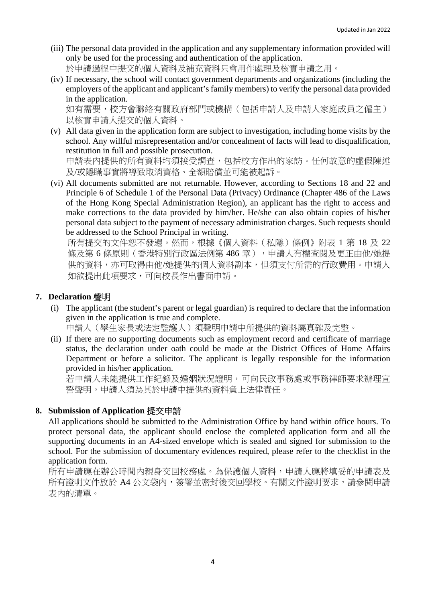- (iii) The personal data provided in the application and any supplementary information provided will only be used for the processing and authentication of the application. 於申請過程中提交的個人資料及補充資料只會用作處理及核實申請之用。
- (iv) If necessary, the school will contact government departments and organizations (including the employers of the applicant and applicant's family members) to verify the personal data provided in the application.

如有需要,校方會聯絡有關政府部門或機構(包括申請人及申請人家庭成員之僱主) 以核實申請人提交的個人資料。

(v) All data given in the application form are subject to investigation, including home visits by the school. Any willful misrepresentation and/or concealment of facts will lead to disqualification, restitution in full and possible prosecution. 申請表內提供的所有資料均須接受調査,包括校方作出的家訪。任何故意的虛假陳述

及/或隱瞞事實將導致取消資格、全額賠償並可能被起訴。

(vi) All documents submitted are not returnable. However, according to Sections 18 and 22 and Principle 6 of Schedule 1 of the Personal Data (Privacy) Ordinance (Chapter 486 of the Laws of the Hong Kong Special Administration Region), an applicant has the right to access and make corrections to the data provided by him/her. He/she can also obtain copies of his/her personal data subject to the payment of necessary administration charges. Such requests should be addressed to the School Principal in writing.

所有提交的文件恕不發還。然而,根據《個人資料(私隱)條例》附表 1 第 18 及 22 條及第6條原則(香港特別行政區法例第486章),申請人有權查閱及更正由他/她提 供的資料,亦可取得由他/她提供的個人資料副本,但須支付所需的行政費用。申請人 如欲提出此項要求,可向校長作出書面申請。

## **7. Declaration** 聲明

(i) The applicant (the student's parent or legal guardian) is required to declare that the information given in the application is true and complete.

申請人(學生家長或法定監護人)須聲明申請中所提供的資料屬真確及完整。

(ii) If there are no supporting documents such as employment record and certificate of marriage status, the declaration under oath could be made at the District Offices of Home Affairs Department or before a solicitor. The applicant is legally responsible for the information provided in his/her application.

若申請人未能提供工作紀錄及婚姻狀況證明,可向民政事務處或事務律師要求辦理宣 誓聲明。申請人須為其於申請中提供的資料負上法律責任。

## **8. Submission of Application** 提交申請

All applications should be submitted to the Administration Office by hand within office hours. To protect personal data, the applicant should enclose the completed application form and all the supporting documents in an A4-sized envelope which is sealed and signed for submission to the school. For the submission of documentary evidences required, please refer to the checklist in the application form.

所有申請應在辦公時間內親身交回校務處。為保護個人資料,申請人應將填妥的申請表及 所有證明文件放於 A4 公文袋内,簽署並密封後交回學校。有關文件證明要求,請參閱申請 表內的清單。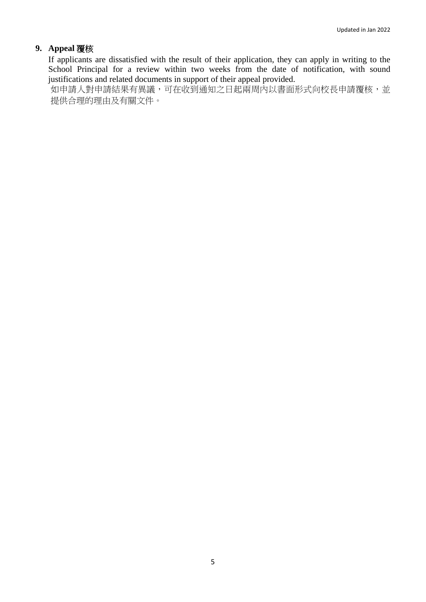# **9. Appeal** 覆核

If applicants are dissatisfied with the result of their application, they can apply in writing to the School Principal for a review within two weeks from the date of notification, with sound justifications and related documents in support of their appeal provided.

如申請人對申請結果有異議,可在收到通知之日起兩周內以書面形式向校長申請覆核,並 提供合理的理由及有關文件。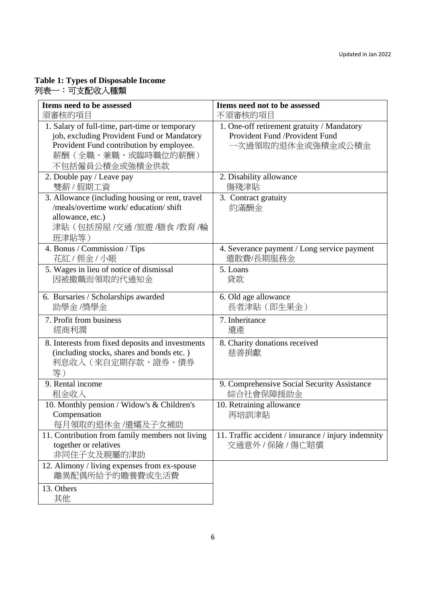#### **Table 1: Types of Disposable Income**  列表一:可支配收入種類

| Items need to be assessed                                                                                                                                                        | Items need not to be assessed                                                                     |
|----------------------------------------------------------------------------------------------------------------------------------------------------------------------------------|---------------------------------------------------------------------------------------------------|
| 須審核的項目                                                                                                                                                                           | 不須審核的項目                                                                                           |
| 1. Salary of full-time, part-time or temporary<br>job, excluding Provident Fund or Mandatory<br>Provident Fund contribution by employee.<br>薪酬(全職、兼職、或臨時職位的薪酬)<br>不包括僱員公積金或強積金供款 | 1. One-off retirement gratuity / Mandatory<br>Provident Fund /Provident Fund<br>一次過領取的退休金或強積金或公積金 |
| 2. Double pay / Leave pay                                                                                                                                                        | 2. Disability allowance                                                                           |
| 雙薪 / 假期工資                                                                                                                                                                        | 傷殘津貼                                                                                              |
| 3. Allowance (including housing or rent, travel<br>/meals/overtime work/ education/ shift<br>allowance, etc.)<br>津貼 (包括房屋 /交通 /旅遊 /膳食 /教育 /輪<br>班津貼等)                            | 3. Contract gratuity<br>約滿酬金                                                                      |
| 4. Bonus / Commission / Tips                                                                                                                                                     | 4. Severance payment / Long service payment                                                       |
| 花紅 / 佣金 / 小賬                                                                                                                                                                     | 遣散費/長期服務金                                                                                         |
| 5. Wages in lieu of notice of dismissal                                                                                                                                          | 5. Loans                                                                                          |
| 因被撤職而領取的代通知金                                                                                                                                                                     | 貸款                                                                                                |
| 6. Bursaries / Scholarships awarded                                                                                                                                              | 6. Old age allowance                                                                              |
| 助學金/獎學金                                                                                                                                                                          | 長者津貼 (即生果金)                                                                                       |
| 7. Profit from business                                                                                                                                                          | 7. Inheritance                                                                                    |
| 經商利潤                                                                                                                                                                             | 遺產                                                                                                |
| 8. Interests from fixed deposits and investments<br>(including stocks, shares and bonds etc.)<br>利息收入(來自定期存款、證券、債券<br>等)                                                         | 8. Charity donations received<br>慈善捐獻                                                             |
| 9. Rental income                                                                                                                                                                 | 9. Comprehensive Social Security Assistance                                                       |
| 租金收入                                                                                                                                                                             | 綜合社會保障援助金                                                                                         |
| 10. Monthly pension / Widow's & Children's<br>Compensation<br>每月領取的退休金/遺孀及子女補助                                                                                                   | 10. Retraining allowance<br>再培訓津貼                                                                 |
| 11. Contribution from family members not living<br>together or relatives<br>非同住子女及親屬的津助                                                                                          | 11. Traffic accident / insurance / injury indemnity<br>交通意外 / 保險 / 傷亡賠償                           |
| 12. Alimony / living expenses from ex-spouse<br>離異配偶所給予的贍養費或生活費                                                                                                                  |                                                                                                   |
| 13. Others<br>其他                                                                                                                                                                 |                                                                                                   |